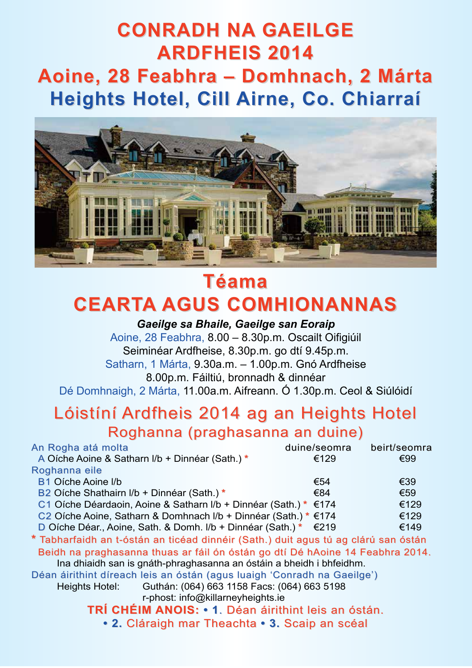# **Conradh na GaeilGe ardFheiS 2014 aoine, 28 Feabhra – domhnach, 2 Márta heights hotel, Cill airne, Co. Chiarraí**



# **Téama CearTa aGuS CoMhionannaS**

*Gaeilge sa Bhaile, Gaeilge san Eoraip*

Aoine, 28 Feabhra, 8.00 – 8.30p.m. Oscailt Oifigiúil Seiminéar Ardfheise, 8.30p.m. go dtí 9.45p.m. Satharn, 1 Márta, 9.30a.m. – 1.00p.m. Gnó Ardfheise 8.00p.m. Fáiltiú, bronnadh & dinnéar Dé Domhnaigh, 2 Márta, 11.00a.m. Aifreann. Ó 1.30p.m. Ceol & Siúlóidí

## Lóistíní Ardfheis 2014 ag an Heights Hotel Roghanna (praghasanna an duine)

| An Rogha atá molta                                                          | duine/seomra | beirt/seomra |
|-----------------------------------------------------------------------------|--------------|--------------|
| A Oíche Aoine & Satharn I/b + Dinnéar (Sath.)*                              | €129         | €99          |
| Roghanna eile                                                               |              |              |
| <b>B1 Oíche Aoine I/b</b>                                                   | €54          | €39          |
| B <sub>2</sub> Oíche Shathairn I/b + Dinnéar (Sath.) *                      | €84          | €59          |
| C1 Oíche Déardaoin, Aoine & Satharn I/b + Dinnéar (Sath.) * €174            |              | €129         |
| C <sub>2</sub> Oíche Aoine, Satharn & Domhnach I/b + Dinnéar (Sath.) * €174 |              | €129         |
| D Oíche Déar., Aoine, Sath. & Domh. I/b + Dinnéar (Sath.) $*$ $\in$ 219     |              | €149         |
|                                                                             |              |              |

**\*** Tabharfaidh an t-óstán an ticéad dinnéir (Sath.) duit agus tú ag clárú san óstán Beidh na praghasanna thuas ar fáil ón óstán go dtí Dé hAoine 14 Feabhra 2014. Ina dhiaidh san is gnáth-phraghasanna an óstáin a bheidh i bhfeidhm.

Déan áirithint díreach leis an óstán (agus luaigh 'Conradh na Gaeilge')

Heights Hotel: Guthán: (064) 663 1158 Facs: (064) 663 5198

r-phost: info@killarneyheights.ie

**Trí ChéiM anoiS: • 1**. Déan áirithint leis an óstán.

**• 2.** Cláraigh mar Theachta **• 3.** Scaip an scéal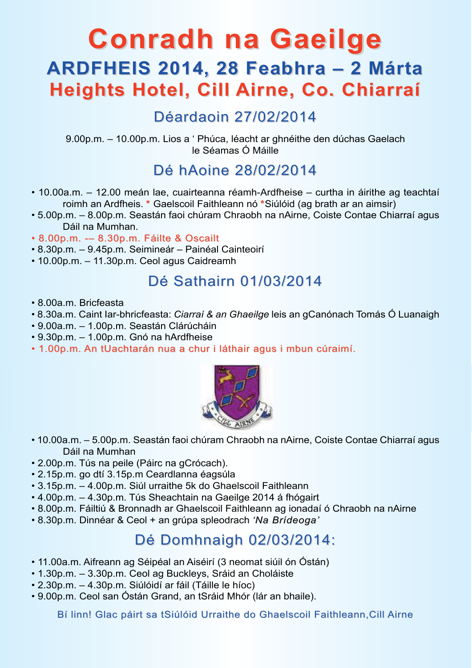# **Conradh na Gaeilge ardFheiS 2014, 28 Feabhra – 2 Márta heights hotel, Cill airne, Co. Chiarraí**

## Déardaoin 27/02/2014

9.00p.m. – 10.00p.m. Lios a ' Phúca, léacht ar ghnéithe den dúchas Gaelach le Séamas Ó Máille

## Dé hAoine 28/02/2014

- 10.00a.m. 12.00 meán lae, cuairteanna réamh-Ardfheise curtha in áirithe ag teachtaí roimh an Ardfheis. **\*** Gaelscoil Faithleann nó **\***Siúlóid (ag brath ar an aimsir)
- 5.00p.m. 8.00p.m. Seastán faoi chúram Chraobh na nAirne, Coiste Contae Chiarraí agus Dáil na Mumhan.
- 8.00p.m. -– 8.30p.m. Fáilte & Oscailt
- 8.30p.m. 9.45p.m. Seimineár Painéal Cainteoirí
- 10.00p.m. 11.30p.m. Ceol agus Caidreamh

#### Dé Sathairn 01/03/2014

- 8.00a.m. Bricfeasta
- 8.30a.m. Caint Iar-bhricfeasta: *Ciarraí & an Ghaeilge* leis an gCanónach Tomás Ó Luanaigh
- 9.00a.m. 1.00p.m. Seastán Clárúcháin
- 9.30p.m. 1.00p.m. Gnó na hArdfheise
- 1.00p.m. An tUachtarán nua a chur i láthair agus i mbun cúraimí.



- 10.00a.m. 5.00p.m. Seastán faoi chúram Chraobh na nAirne, Coiste Contae Chiarraí agus Dáil na Mumhan
- 2.00p.m. Tús na peile (Páirc na gCrócach).
- 2.15p.m. go dtí 3.15p.m Ceardlanna éagsúla
- 3.15p.m. 4.00p.m. Siúl urraithe 5k do Ghaelscoil Faithleann
- 4.00p.m. 4.30p.m. Tús Sheachtain na Gaeilge 2014 á fhógairt
- 8.00p.m. Fáiltiú & Bronnadh ar Ghaelscoil Faithleann ag ionadaí ó Chraobh na nAirne
- 8.30p.m. Dinnéar & Ceol + an grúpa spleodrach *'Na Brídeoga'*

#### Dé Domhnaigh 02/03/2014:

- 11.00a.m. Aifreann ag Séipéal an Aiséirí (3 neomat siúil ón Óstán)
- 1.30p.m. 3.30p.m. Ceol ag Buckleys, Sráid an Choláiste
- 2.30p.m. 4.30p.m. Siúlóidí ar fáil (Táille le híoc)
- 9.00p.m. Ceol san Óstán Grand, an tSráid Mhór (lár an bhaile).

Bí linn! Glac páirt sa tSiúlóid Urraithe do Ghaelscoil Faithleann,Cill Airne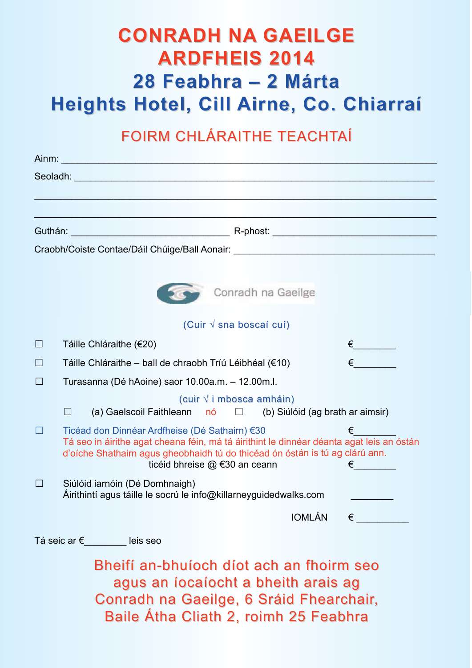# **Conradh na GaeilGe ardFheiS 2014 28 Feabhra – 2 Márta heights hotel, Cill airne, Co. Chiarraí**

## FOIRM CHLáRAITHe TeACHTAÍ

|        | Craobh/Coiste Contae/Dáil Chúige/Ball Aonair: University of the Craobh/Coiste Contae/Dáil Chúige/Ball Aonair:                                                                                                                                                                                 |
|--------|-----------------------------------------------------------------------------------------------------------------------------------------------------------------------------------------------------------------------------------------------------------------------------------------------|
|        |                                                                                                                                                                                                                                                                                               |
|        | Conradh na Gaeilge                                                                                                                                                                                                                                                                            |
|        | (Cuir $\sqrt{s}$ sna boscaí cuí)                                                                                                                                                                                                                                                              |
| $\Box$ | Táille Chláraithe (€20)                                                                                                                                                                                                                                                                       |
| $\Box$ | Táille Chláraithe – ball de chraobh Tríú Léibhéal (€10)                                                                                                                                                                                                                                       |
|        | Turasanna (Dé hAoine) saor 10.00a.m. - 12.00m.l.                                                                                                                                                                                                                                              |
|        | (cuir $\sqrt{i}$ mbosca amháin)<br>(a) Gaelscoil Faithleann $n6 \Box$ (b) Siúlóid (ag brath ar aimsir)<br>$\blacksquare$                                                                                                                                                                      |
|        | Ticéad don Dinnéar Ardfheise (Dé Sathairn) €30<br>€<br>Tá seo in áirithe agat cheana féin, má tá áirithint le dinnéar déanta agat leis an óstán<br>d'oíche Shathairn agus gheobhaidh tú do thicéad ón óstán is tú ag clárú ann.<br>ticéid bhreise @ €30 an ceann<br>$\epsilon$ and $\epsilon$ |
|        | Siúlóid iarnóin (Dé Domhnaigh)<br>Airithintí agus táille le socrú le info@killarneyguidedwalks.com                                                                                                                                                                                            |
|        | $IOMLÁN \in$                                                                                                                                                                                                                                                                                  |
|        | Tá seic ar €_________ leis seo                                                                                                                                                                                                                                                                |
|        | Bheifí an-bhuíoch díot ach an fhoirm seo<br>agus an íocaíocht a bheith arais ag<br>Conradh na Gaeilge, 6 Sráid Fhearchair,<br>Baile Átha Cliath 2, roimh 25 Feabhra                                                                                                                           |